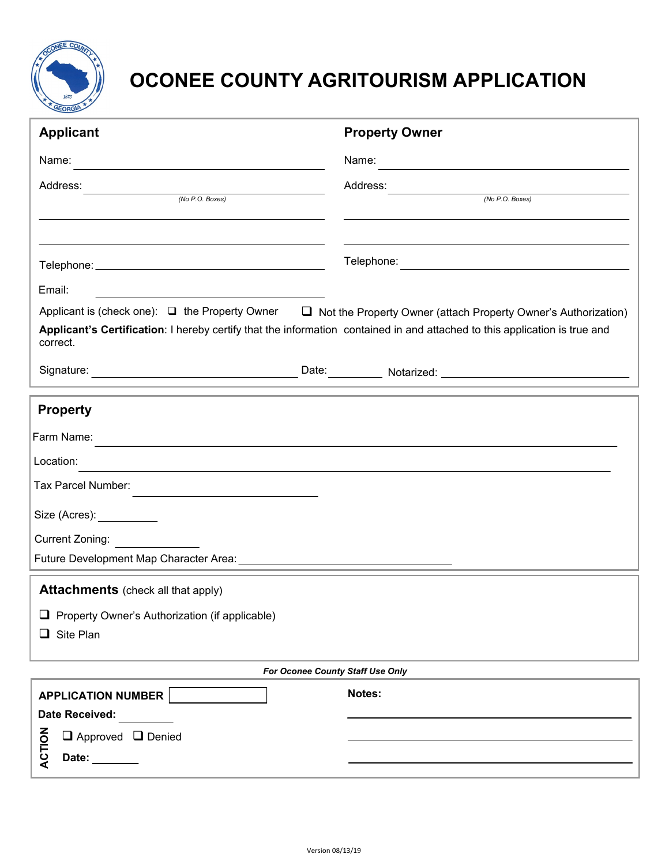

## **OCONEE COUNTY AGRITOURISM APPLICATION**

| <b>Applicant</b>                                                                                                                                                                                                                     | <b>Property Owner</b> |
|--------------------------------------------------------------------------------------------------------------------------------------------------------------------------------------------------------------------------------------|-----------------------|
| Name:                                                                                                                                                                                                                                | Name:                 |
| Address:                                                                                                                                                                                                                             | Address:              |
| (No P.O. Boxes)                                                                                                                                                                                                                      | (No P.O. Boxes)       |
|                                                                                                                                                                                                                                      |                       |
|                                                                                                                                                                                                                                      |                       |
| Email:                                                                                                                                                                                                                               |                       |
| Applicant is (check one): □ the Property Owner □ Not the Property Owner (attach Property Owner's Authorization)                                                                                                                      |                       |
| Applicant's Certification: I hereby certify that the information contained in and attached to this application is true and<br>correct.                                                                                               |                       |
| Signature: <u>Contract Contract Contract Contract Contract Contract Contract Contract Contract Contract Contract Contract Contract Contract Contract Contract Contract Contract Contract Contract Contract Contract Contract Con</u> |                       |
| <b>Property</b>                                                                                                                                                                                                                      |                       |
| Farm Name:<br><u> 1989 - Johann Harry Communication (b. 1989)</u>                                                                                                                                                                    |                       |
| Location:                                                                                                                                                                                                                            |                       |
| Tax Parcel Number:                                                                                                                                                                                                                   |                       |
| Size (Acres):                                                                                                                                                                                                                        |                       |
| Current Zoning:                                                                                                                                                                                                                      |                       |
|                                                                                                                                                                                                                                      |                       |
| <b>Attachments</b> (check all that apply)                                                                                                                                                                                            |                       |
| Property Owner's Authorization (if applicable)                                                                                                                                                                                       |                       |
| Site Plan<br>ப                                                                                                                                                                                                                       |                       |
|                                                                                                                                                                                                                                      |                       |
| For Oconee County Staff Use Only                                                                                                                                                                                                     |                       |
| <b>APPLICATION NUMBER</b>                                                                                                                                                                                                            | Notes:                |
| Date Received:                                                                                                                                                                                                                       |                       |
| ACTION<br>$\Box$ Approved $\Box$ Denied                                                                                                                                                                                              |                       |
| Date:                                                                                                                                                                                                                                |                       |